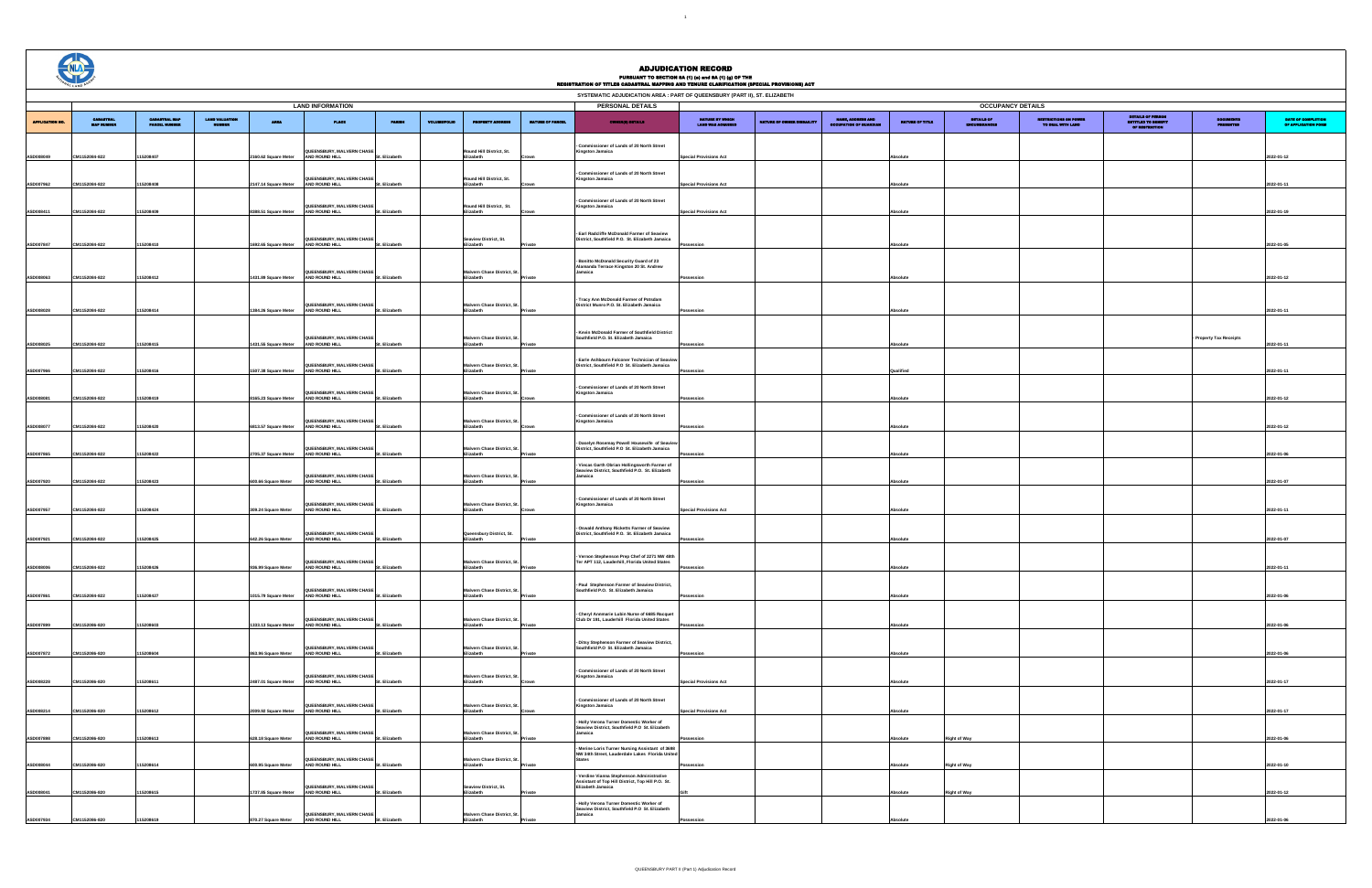**Ivern Chase District, Elizabeth Private**

## **PERSONAL DETAILS LAND INFORMATION OCCUPANCY DETAILS** APPLICATION NO. CADASTRAL MAP NUMBER CADASTRAL MAP PARCEL NUMBER LAND VALUATION NUMBER AREA PLACE PARISH VOLUME/FOLIO PROPERTY ADDRESS NATURE OF PARCEL OWNER(S) DETAILS NATURE BY WHICH LAND WAS ACQUIRED **AATURE OF OWNER D** NAME, ADDRESS AND OCCUPATION OF GUARDIAN NATURE OF TITLE DETAILS OF ENCUMBRANCES **ASD008049 CM1152084-822 115208407 2160.62 Square Meter BURY, MALVERN CHASE** St. Elizabeth **AND ROUND HILL Round Hill District, St. Elizabeth Crown - Commissioner of Lands of 20 North Street Kingston Jamaica Special Provisions Act Absolute 2022-01-12 ASD007962 CM1152084-822 115208408 2147.14 Square Meter JEENSBURY, MALVERN CHASE**<br>ND ROUND HILL **AND ROUND HILL Round Hill District, St. Elizabeth - Commissioner of Lands of 20 North Street Kingston Jamaica Special Provisions Act Absolute 2022-01-11 ASD008411 CM1152084-822 115208409 8388.51 Square Meter QUEENSBURY, MALVERN CHASE AND ROUND HILL St. Elizabeth Round Hill District, St. Elizabeth Crown - Commissioner of Lands of 20 North Street Kingston Jamaica Special Provisions Act Absolute 2022-01-19 ASD007847 CM1152084-822 115208410 1692.65 Square Meter QUEENSBURY, MALVERN CHASE AND ROUND HILL St. Elizabeth Seaview District, St. Elizabeth Private - Earl Radcliffe McDonald Farmer of Seaview District, Southfield P.O. St. Elizabeth Jamaica Possession Absolute 2022-01-05 ASD008063 CM1152084-822 115208412 1431.89 Square Meter QUEENSBURY, MALVERN CHASE AND ROUND HILL St. Elizabeth Malvern Chase District, St. Elizabeth Private - Bonitto McDonald Security Guard of 23 Alamanda Terrace Kingston 20 St. Andrew Jamaica Possession Absolute 2022-01-12 ASD008028 CM1152084-822 115208414 1384.26 Square Meter QUEENSBURY, MALVERN CHASE AND ROUND HILL St. Elizabeth Malvern Chase District, St. Elizabeth Private - Tracy Ann McDonald Farmer of Potsdam District Munro P.O. St. Elizabeth Jamaica Possession Absolute 2022-01-11 ASD008025 CM1152084-822 115208415 1431.55 Square Meter QUEENSBURY, MALVERN CHASE AND ROUND HILL St. Elizabeth Malvern Chase District, St. Elizabeth Private - Kevin McDonald Farmer of Southfield District Southfield P.O. St. Elizabeth Jamaica Possession Absolute ASD007966 CM1152084-822 115208416 1507.38 Square Meter EENSBURY, MALVERN CH AND ROUND HILL vern Chase District, Elizabeth Private - Earle Ashbourn Falconer Technician of Seaview District, Southfield P.O St. Elizabeth Jamaica Possession Qualified 2022-01-11 ASD008081 CM1152084-822 115208419 8165.23 Square Meter QUEENSBURY, MALVERN CHASE AND ROUND HILL St. Elizabeth Malvern Chase District, St. Elizabeth Crown - Commissioner of Lands of 20 North Street Kingston Jamaica Possession Absolute 2022-01-12 ASD008077 CM1152084-822 115208420 6813.57 Square Meter QUEENSBURY, MALVERN CHASE AND ROUND HILL St. Elizabeth Ivern Chase District, St. Elizabeth Crown - Commissioner of Lands of 20 North Street Kingston Jamaica Possession Absolute 2022-01-12 ASD007865 CM1152084-822 115208422 2705.37 Square Meter EENSBURY, MALVERN C AND ROUND HILL St. Elizabeth Malvern Chase District, Elizabeth Private - Daselyn Rosemay Powell Housewife of Seaview District, Southfield P.O St. Elizabeth Jamaica Possession Absolute 2022-01-06 ASD007920 CM1152084-822 115208423 600.66 Square Meter QUEENSBURY, MALVERN CHASE AND ROUND HILL St. Elizabeth Malvern Chase District, St. Elizabeth Private - Viecas Garth Obrian Hollingsworth Farmer of Seaview District, Southfield P.O. St. Elizabeth Jamaica Possession Absolute 2022-01-07 ASD007957 CM1152084-822 115208424 309.24 Square Meter QUEENSBURY, MALVERN CHASE AND ROUND HILL St. Elizabeth Malvern Chase District, Elizabeth Crown - Commissioner of Lands of 20 North Street Kingston Jamaica Special Provisions Act Absolute 2022-01-11 ASD007921 CM1152084-822 115208425 642.26 Square Meter QUEENSBURY, MALVERN CHASE AND ROUND HILL St. Elizabeth Queensbury District, St. Elizabeth Private - Oswald Anthony Ricketts Farmer of Seaview District, Southfield P.O. St. Elizabeth Jamaica Possession Absolute 2022-01-07 ASD008006 CM1152084-822 115208426 936.99 Square Meter QUEENSBURY, MALVERN CHASE AND ROUND HILL St. Elizabeth Malvern Chase District, St. Elizabeth Private - Vernon Stephenson Prep Chef of 2271 NW 48th Ter APT 112, Lauderhill, Florida United States Possession Absolute 2022-01-11 ASD007861 CM1152084-822 115208427 1015.79 Square Meter AND ROUND HILL St. Elizabeth EENSBURY, MALVERN CHASE**<br>D ROUND HILL **Malvern Chase District, Elizabeth Private - Paul Stephenson Farmer of Seaview District, Southfield P.O. St. Elizabeth Jamaica Possession Absolute 2022-01-06 ASD007899 CM1152086-820 115208603 1333.13 Square Meter UEENSBURY, MALVERN CHASE**<br>ND ROUND HILL **AND ROUND HILL Ivern Chase District, Elizabeth Private - Cheryl Annmarie Lubin Nurse of 6685 Racquet Club Dr 191, Lauderhill Florida United States Possession Absolute 2022-01-06 ASD007872 CM1152086-820 115208604 863.96 Square Meter ENSBURY, MALVERN CH AND ROUND HILL** St. Elizabeth ern Chase District, **Elizabeth Private - Ditsy Stephenson Farmer of Seaview District, Southfield P.O St. Elizabeth Jamaica Possession Absolute 2022-01-06 ASD008228 CM1152086-820 115208611 2487.01 Square Meter UEENSBURY, MALVERN CH AND ROUND HILL St. Elizabeth Malvern Chase District, Elizabeth Crown - Commissioner of Lands of 20 North Street Kingston Jamaica Special Provisions Act Absolute 2022-01-17 ASD008214 CM1152086-820 115208612 2009.92 Square Meter QUEENSBURY, MALVERN CHASE AND ROUND HILL Malvern Chase District, St. Elizabeth - Commissioner of Lands of 20 North Street Kingston Jamaica Special Provisions Act Absolute 2022-01-17 ASD007898 CM1152086-820 115208613 628.18 Square Meter ENSBURY, MALVERN CHASE**<br>ROUND HILL **AND ROUND HILL Mase District, Elizabeth Private - Holly Verona Turner Domestic Worker of Seaview District, Southfield P.O St. Elizabeth Jamaica Possession Absolute Right of Way 2022-01-06 ASD008044 CM1152086-820 115208614 600.95 Square Meter JEENSBURY, MALVERN C AND ROUND HILL St. Elizabeth Malvern Chase District. Elizabeth Private - Merine Loris Turner Nursing Assistant of 3698 NW 34th Street, Lauderdale Lakes Florida United States Possession Absolute Right of Way 2022-01-10 ASD008041 CM1152086-820 115208615 1737.85 Square Meter QUEENSBURY, MALVERN CHASE AND ROUND HILL St. Elizabeth Seaview District, St. Elizabeth Private - Verdine Vianna Stephenson Administrative Assistant of Top Hill District, Top Hill P.O. St. Elizabeth Jamaica Gift Absolute Right of Way 2022-01-12** ADJUDICATION RECORD PURSUANT TO SECTION 8A (1) (e) and 8A (1) (g) OF THE REGISTRATION OF TITLES CADASTRAL MAPPING AND TENURE CLARIFICATION (SPECIAL PROVISIONS) ACT **SYSTEMATIC ADJUDICATION AREA : PART OF QUEENSBURY (PART II), ST. ELIZABETH**

| -----<br>.<br>ND TENURE CLARIFICATION (SPECIAL PROVISIONS) ACT       |                           |                                             |                 |                            |                                                   |                                           |                         |                                           |
|----------------------------------------------------------------------|---------------------------|---------------------------------------------|-----------------|----------------------------|---------------------------------------------------|-------------------------------------------|-------------------------|-------------------------------------------|
| T OF QUEENSBURY (PART II), ST. ELIZABETH<br><b>OCCUPANCY DETAILS</b> |                           |                                             |                 |                            |                                                   |                                           |                         |                                           |
|                                                                      |                           |                                             |                 |                            |                                                   | DITAILS OF PERSON<br>IBITITLED TO BEHEFIT |                         |                                           |
| NATURE BY WHICH<br>LAND WAS ACQUIRED                                 | NATURE OF OWNER DISBARITY | NAME, ADDRESS AND<br>OCCUPATION OF GUARDIAN | NATURE OF TITLE | DITAILS OF<br>ENGUMBRANCES | <b>RESTRICTIONS ON POWER</b><br>TO BEAL WITH LAND | OF RESTRICTION                            | DOCUMBITS<br>PRESENTED  | DATE OF COMPLETION<br>OF APPLICATION FORM |
|                                                                      |                           |                                             |                 |                            |                                                   |                                           |                         |                                           |
|                                                                      |                           |                                             |                 |                            |                                                   |                                           |                         |                                           |
| <b>Special Provisions Act</b>                                        |                           |                                             | Absolute        |                            |                                                   |                                           |                         | 2022-01-12                                |
|                                                                      |                           |                                             |                 |                            |                                                   |                                           |                         |                                           |
| <b>Special Provisions Act</b>                                        |                           |                                             | Absolute        |                            |                                                   |                                           |                         | 2022-01-11                                |
|                                                                      |                           |                                             |                 |                            |                                                   |                                           |                         |                                           |
| <b>Special Provisions Act</b>                                        |                           |                                             | Absolute        |                            |                                                   |                                           |                         | 2022-01-19                                |
|                                                                      |                           |                                             |                 |                            |                                                   |                                           |                         |                                           |
|                                                                      |                           |                                             |                 |                            |                                                   |                                           |                         |                                           |
| Possession                                                           |                           |                                             | Absolute        |                            |                                                   |                                           |                         | 2022-01-05                                |
|                                                                      |                           |                                             |                 |                            |                                                   |                                           |                         |                                           |
|                                                                      |                           |                                             |                 |                            |                                                   |                                           |                         |                                           |
| Possession                                                           |                           |                                             | Absolute        |                            |                                                   |                                           |                         | 2022-01-12                                |
|                                                                      |                           |                                             |                 |                            |                                                   |                                           |                         |                                           |
| Possession                                                           |                           |                                             | Absolute        |                            |                                                   |                                           |                         | 2022-01-11                                |
|                                                                      |                           |                                             |                 |                            |                                                   |                                           |                         |                                           |
|                                                                      |                           |                                             |                 |                            |                                                   |                                           |                         |                                           |
| Possession                                                           |                           |                                             | Absolute        |                            |                                                   |                                           | - Property Tax Receipts | 2022-01-11                                |
|                                                                      |                           |                                             |                 |                            |                                                   |                                           |                         |                                           |
|                                                                      |                           |                                             |                 |                            |                                                   |                                           |                         |                                           |
| Possession                                                           |                           |                                             | Qualified       |                            |                                                   |                                           |                         | 2022-01-11                                |
|                                                                      |                           |                                             |                 |                            |                                                   |                                           |                         |                                           |
| Possession                                                           |                           |                                             | Absolute        |                            |                                                   |                                           |                         | 2022-01-12                                |
|                                                                      |                           |                                             |                 |                            |                                                   |                                           |                         |                                           |
| Possession                                                           |                           |                                             | Absolute        |                            |                                                   |                                           |                         | 2022-01-12                                |
|                                                                      |                           |                                             |                 |                            |                                                   |                                           |                         |                                           |
|                                                                      |                           |                                             |                 |                            |                                                   |                                           |                         |                                           |
| Possession                                                           |                           |                                             | Absolute        |                            |                                                   |                                           |                         | 2022-01-06                                |
|                                                                      |                           |                                             |                 |                            |                                                   |                                           |                         |                                           |
| Possession                                                           |                           |                                             | Absolute        |                            |                                                   |                                           |                         | 2022-01-07                                |
|                                                                      |                           |                                             |                 |                            |                                                   |                                           |                         |                                           |
| <b>Special Provisions Act</b>                                        |                           |                                             | Absolute        |                            |                                                   |                                           |                         | 2022-01-11                                |
|                                                                      |                           |                                             |                 |                            |                                                   |                                           |                         |                                           |
|                                                                      |                           |                                             |                 |                            |                                                   |                                           |                         |                                           |
| Possession                                                           |                           |                                             | Absolute        |                            |                                                   |                                           |                         | 2022-01-07                                |
|                                                                      |                           |                                             |                 |                            |                                                   |                                           |                         |                                           |
| Possession                                                           |                           |                                             | Absolute        |                            |                                                   |                                           |                         | 2022-01-11                                |
|                                                                      |                           |                                             |                 |                            |                                                   |                                           |                         |                                           |
| Possession                                                           |                           |                                             | Absolute        |                            |                                                   |                                           |                         | 2022-01-06                                |
|                                                                      |                           |                                             |                 |                            |                                                   |                                           |                         |                                           |
|                                                                      |                           |                                             |                 |                            |                                                   |                                           |                         |                                           |
| Possession                                                           |                           |                                             | Absolute        |                            |                                                   |                                           |                         | 2022-01-06                                |
|                                                                      |                           |                                             |                 |                            |                                                   |                                           |                         |                                           |
| Possession                                                           |                           |                                             | Absolute        |                            |                                                   |                                           |                         | 2022-01-06                                |
|                                                                      |                           |                                             |                 |                            |                                                   |                                           |                         |                                           |
|                                                                      |                           |                                             |                 |                            |                                                   |                                           |                         |                                           |
| <b>Special Provisions Act</b>                                        |                           |                                             | Absolute        |                            |                                                   |                                           |                         | 2022-01-17                                |
|                                                                      |                           |                                             |                 |                            |                                                   |                                           |                         |                                           |
| <b>Special Provisions Act</b>                                        |                           |                                             | Absolute        |                            |                                                   |                                           |                         | 2022-01-17                                |
|                                                                      |                           |                                             |                 |                            |                                                   |                                           |                         |                                           |
| Possession                                                           |                           |                                             | Absolute        | <b>Right of Way</b>        |                                                   |                                           |                         | 2022-01-06                                |
|                                                                      |                           |                                             |                 |                            |                                                   |                                           |                         |                                           |
|                                                                      |                           |                                             |                 |                            |                                                   |                                           |                         |                                           |
| Possession                                                           |                           |                                             | Absolute        | <b>Right of Way</b>        |                                                   |                                           |                         | 2022-01-10                                |
|                                                                      |                           |                                             |                 |                            |                                                   |                                           |                         |                                           |
| Gift                                                                 |                           |                                             | Absolute        | <b>Right of Way</b>        |                                                   |                                           |                         | 2022-01-12                                |
|                                                                      |                           |                                             |                 |                            |                                                   |                                           |                         |                                           |
| Possession                                                           |                           |                                             | Absolute        |                            |                                                   |                                           |                         | 2022-01-06                                |



**ASD007934 CM1152086-820 115208619 870.27 Square Meter**

**JEENSBURY, MALVERN CH AND ROUND HILL** 

**- Holly Verona Turner Domestic Worker of Seaview District, Southfield P.O St. Elizabeth** 

**Jamaica**

 $1<sup>1</sup>$